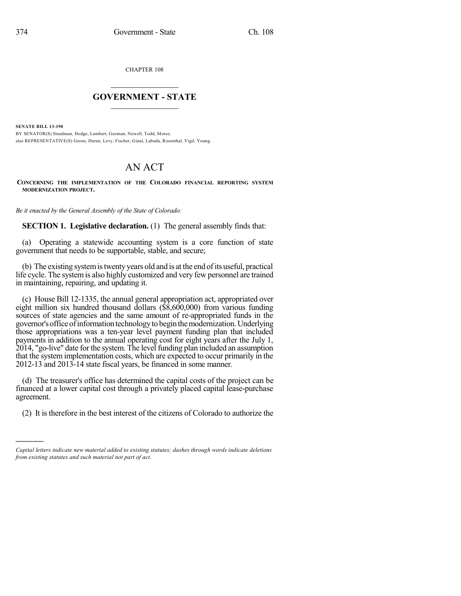CHAPTER 108

## $\mathcal{L}_\text{max}$  . The set of the set of the set of the set of the set of the set of the set of the set of the set of the set of the set of the set of the set of the set of the set of the set of the set of the set of the set **GOVERNMENT - STATE**  $\_$   $\_$   $\_$   $\_$   $\_$   $\_$   $\_$   $\_$   $\_$

**SENATE BILL 13-190**

)))))

BY SENATOR(S) Steadman, Hodge, Lambert, Guzman, Newell, Todd, Morse; also REPRESENTATIVE(S) Gerou, Duran, Levy, Fischer, Ginal, Labuda, Rosenthal, Vigil, Young.

## AN ACT

**CONCERNING THE IMPLEMENTATION OF THE COLORADO FINANCIAL REPORTING SYSTEM MODERNIZATION PROJECT.**

*Be it enacted by the General Assembly of the State of Colorado:*

**SECTION 1. Legislative declaration.** (1) The general assembly finds that:

(a) Operating a statewide accounting system is a core function of state government that needs to be supportable, stable, and secure;

(b) The existing system is twenty years old and is at the end of its useful, practical life cycle. The systemis also highly customized and very few personnel are trained in maintaining, repairing, and updating it.

(c) House Bill 12-1335, the annual general appropriation act, appropriated over eight million six hundred thousand dollars (\$8,600,000) from various funding sources of state agencies and the same amount of re-appropriated funds in the governor's office of information technology to begin the modernization. Underlying those appropriations was a ten-year level payment funding plan that included payments in addition to the annual operating cost for eight years after the July 1, 2014, "go-live" date for the system. The level funding plan included an assumption that the system implementation costs, which are expected to occur primarily in the 2012-13 and 2013-14 state fiscal years, be financed in some manner.

(d) The treasurer's office has determined the capital costs of the project can be financed at a lower capital cost through a privately placed capital lease-purchase agreement.

(2) It is therefore in the best interest of the citizens of Colorado to authorize the

*Capital letters indicate new material added to existing statutes; dashes through words indicate deletions from existing statutes and such material not part of act.*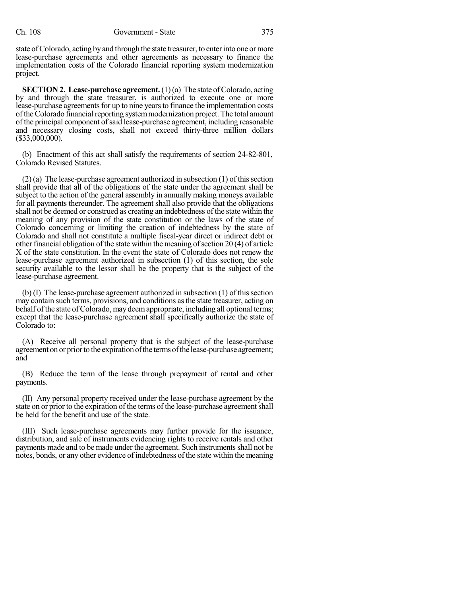state of Colorado, acting by and through the state treasurer, to enter into one or more lease-purchase agreements and other agreements as necessary to finance the implementation costs of the Colorado financial reporting system modernization project.

**SECTION 2. Lease-purchase agreement.**(1)(a) The state ofColorado, acting by and through the state treasurer, is authorized to execute one or more lease-purchase agreements for up to nine years to finance the implementation costs of the Colorado financial reporting system modernization project. The total amount of the principal component ofsaid lease-purchase agreement, including reasonable and necessary closing costs, shall not exceed thirty-three million dollars (\$33,000,000).

(b) Enactment of this act shall satisfy the requirements of section 24-82-801, Colorado Revised Statutes.

 $(2)$  (a) The lease-purchase agreement authorized in subsection  $(1)$  of this section shall provide that all of the obligations of the state under the agreement shall be subject to the action of the general assembly in annually making moneys available for all payments thereunder. The agreement shall also provide that the obligations shall not be deemed or construed as creating an indebtedness of the state within the meaning of any provision of the state constitution or the laws of the state of Colorado concerning or limiting the creation of indebtedness by the state of Colorado and shall not constitute a multiple fiscal-year direct or indirect debt or other financial obligation of the state within the meaning of section  $20(4)$  of article X of the state constitution. In the event the state of Colorado does not renew the lease-purchase agreement authorized in subsection (1) of this section, the sole security available to the lessor shall be the property that is the subject of the lease-purchase agreement.

 $(b)$  (I) The lease-purchase agreement authorized in subsection  $(1)$  of this section may contain such terms, provisions, and conditions asthe state treasurer, acting on behalf of the state of Colorado, may deem appropriate, including all optional terms; except that the lease-purchase agreement shall specifically authorize the state of Colorado to:

(A) Receive all personal property that is the subject of the lease-purchase agreement on or prior to the expiration of the terms of the lease-purchase agreement; and

(B) Reduce the term of the lease through prepayment of rental and other payments.

(II) Any personal property received under the lease-purchase agreement by the state on or prior to the expiration of the terms of the lease-purchase agreement shall be held for the benefit and use of the state.

(III) Such lease-purchase agreements may further provide for the issuance, distribution, and sale of instruments evidencing rights to receive rentals and other payments made and to be made under the agreement. Such instruments shall not be notes, bonds, or any other evidence of indebtedness of the state within the meaning